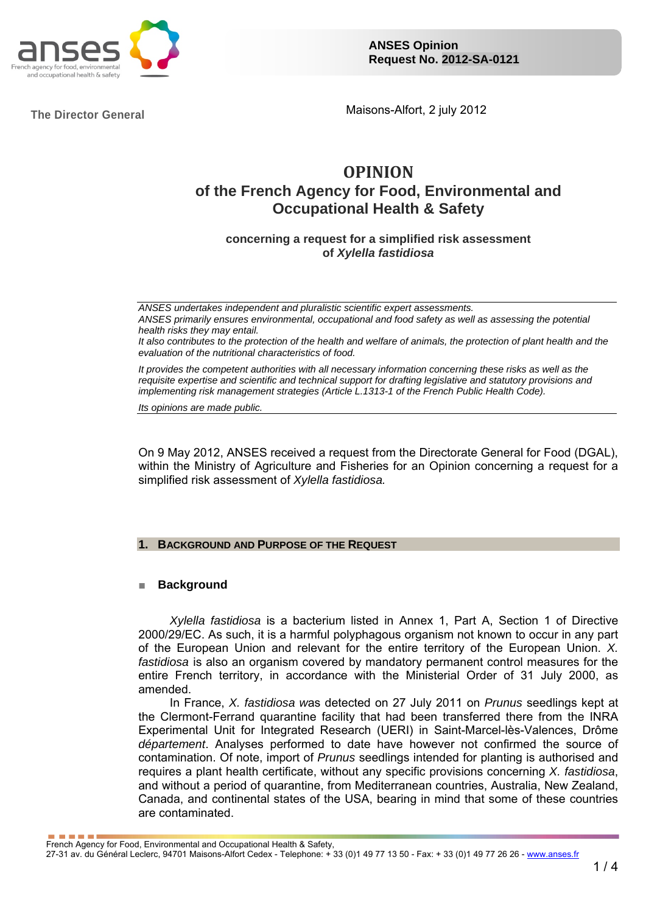

The Director General **Maisons-Alfort, 2 july 2012** 

# **OPINION**

# **of the French Agency for Food, Environmental and Occupational Health & Safety**

**concerning a request for a simplified risk assessment of** *Xylella fastidiosa*

*ANSES undertakes independent and pluralistic scientific expert assessments. ANSES primarily ensures environmental, occupational and food safety as well as assessing the potential health risks they may entail. It also contributes to the protection of the health and welfare of animals, the protection of plant health and the evaluation of the nutritional characteristics of food.* 

*It provides the competent authorities with all necessary information concerning these risks as well as the requisite expertise and scientific and technical support for drafting legislative and statutory provisions and implementing risk management strategies (Article L.1313-1 of the French Public Health Code).* 

*Its opinions are made public.*

On 9 May 2012, ANSES received a request from the Directorate General for Food (DGAL), within the Ministry of Agriculture and Fisheries for an Opinion concerning a request for a simplified risk assessment of *Xylella fastidiosa.* 

# **BACKGROUND AND PURPOSE OF THE REQUEST**

#### ■ **Background**

*Xylella fastidiosa* is a bacterium listed in Annex 1, Part A, Section 1 of Directive 2000/29/EC. As such, it is a harmful polyphagous organism not known to occur in any part of the European Union and relevant for the entire territory of the European Union. *X. fastidiosa* is also an organism covered by mandatory permanent control measures for the entire French territory, in accordance with the Ministerial Order of 31 July 2000, as amended.

In France, *X. fastidiosa w*as detected on 27 July 2011 on *Prunus* seedlings kept at the Clermont-Ferrand quarantine facility that had been transferred there from the INRA Experimental Unit for Integrated Research (UERI) in Saint-Marcel-lès-Valences, Drôme *département*. Analyses performed to date have however not confirmed the source of contamination. Of note, import of *Prunus* seedlings intended for planting is authorised and requires a plant health certificate, without any specific provisions concerning *X. fastidiosa*, and without a period of quarantine, from Mediterranean countries, Australia, New Zealand, Canada, and continental states of the USA, bearing in mind that some of these countries are contaminated.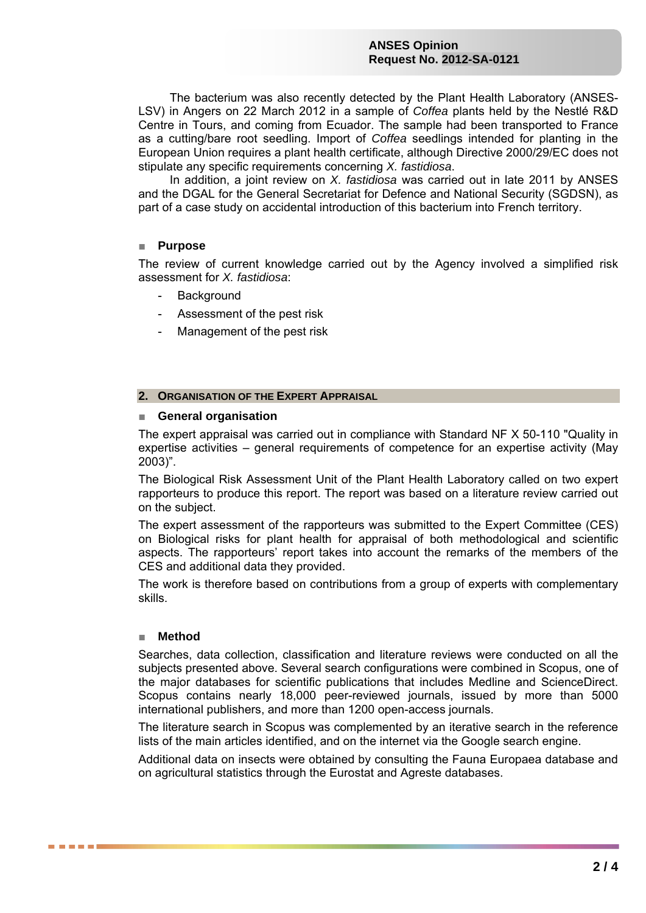#### **ANSES Opinion Request No. 2012-SA-0121**

The bacterium was also recently detected by the Plant Health Laboratory (ANSES-LSV) in Angers on 22 March 2012 in a sample of *Coffea* plants held by the Nestlé R&D Centre in Tours, and coming from Ecuador. The sample had been transported to France as a cutting/bare root seedling. Import of *Coffea* seedlings intended for planting in the European Union requires a plant health certificate, although Directive 2000/29/EC does not stipulate any specific requirements concerning *X. fastidiosa*.

In addition, a joint review on *X. fastidiosa* was carried out in late 2011 by ANSES and the DGAL for the General Secretariat for Defence and National Security (SGDSN), as part of a case study on accidental introduction of this bacterium into French territory.

# ■ **Purpose**

The review of current knowledge carried out by the Agency involved a simplified risk assessment for *X. fastidiosa*:

- **Background**
- Assessment of the pest risk
- Management of the pest risk

# **2. ORGANISATION OF THE EXPERT APPRAISAL**

#### ■ **General organisation**

The expert appraisal was carried out in compliance with Standard NF X 50-110 "Quality in expertise activities – general requirements of competence for an expertise activity (May 2003)".

The Biological Risk Assessment Unit of the Plant Health Laboratory called on two expert rapporteurs to produce this report. The report was based on a literature review carried out on the subject.

The expert assessment of the rapporteurs was submitted to the Expert Committee (CES) on Biological risks for plant health for appraisal of both methodological and scientific aspects. The rapporteurs' report takes into account the remarks of the members of the CES and additional data they provided.

The work is therefore based on contributions from a group of experts with complementary skills.

#### ■ **Method**

. . . . .

Searches, data collection, classification and literature reviews were conducted on all the subjects presented above. Several search configurations were combined in Scopus, one of the major databases for scientific publications that includes Medline and ScienceDirect. Scopus contains nearly 18,000 peer-reviewed journals, issued by more than 5000 international publishers, and more than 1200 open-access journals.

The literature search in Scopus was complemented by an iterative search in the reference lists of the main articles identified, and on the internet via the Google search engine.

Additional data on insects were obtained by consulting the Fauna Europaea database and on agricultural statistics through the Eurostat and Agreste databases.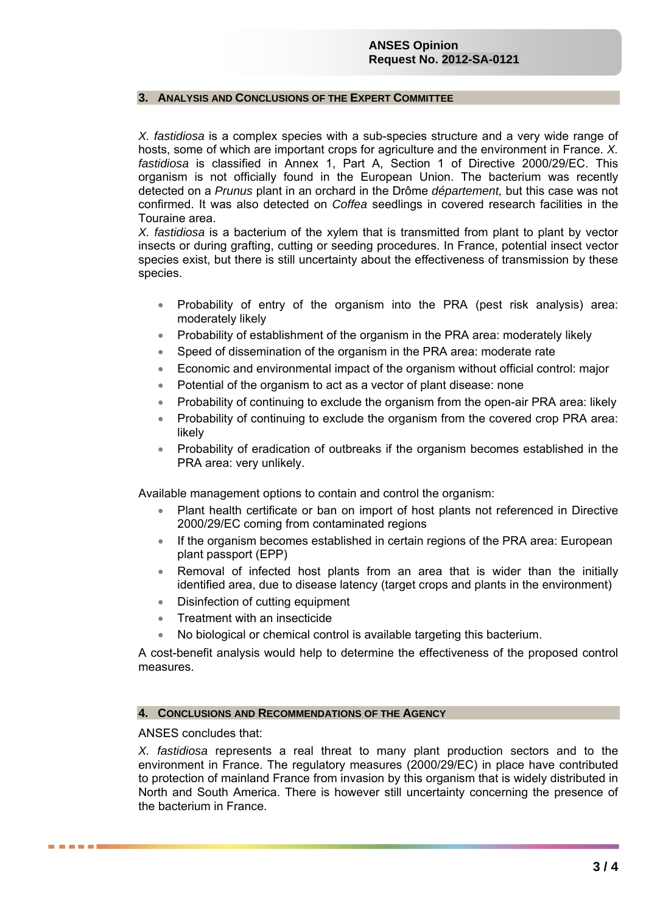# **ANSES Opinion Request No. 2012-SA-0121**

#### **3. ANALYSIS AND CONCLUSIONS OF THE EXPERT COMMITTEE**

*X. fastidiosa* is a complex species with a sub-species structure and a very wide range of hosts, some of which are important crops for agriculture and the environment in France. *X. fastidiosa* is classified in Annex 1, Part A, Section 1 of Directive 2000/29/EC. This organism is not officially found in the European Union. The bacterium was recently detected on a *Prunus* plant in an orchard in the Drôme *département,* but this case was not confirmed. It was also detected on *Coffea* seedlings in covered research facilities in the Touraine area.

*X. fastidiosa* is a bacterium of the xylem that is transmitted from plant to plant by vector insects or during grafting, cutting or seeding procedures. In France, potential insect vector species exist, but there is still uncertainty about the effectiveness of transmission by these species.

- Probability of entry of the organism into the PRA (pest risk analysis) area: moderately likely
- Probability of establishment of the organism in the PRA area: moderately likely
- Speed of dissemination of the organism in the PRA area: moderate rate
- Economic and environmental impact of the organism without official control: major
- Potential of the organism to act as a vector of plant disease: none
- Probability of continuing to exclude the organism from the open-air PRA area: likely
- Probability of continuing to exclude the organism from the covered crop PRA area: likely
- Probability of eradication of outbreaks if the organism becomes established in the PRA area: very unlikely.

Available management options to contain and control the organism:

- Plant health certificate or ban on import of host plants not referenced in Directive 2000/29/EC coming from contaminated regions
- If the organism becomes established in certain regions of the PRA area: European plant passport (EPP)
- Removal of infected host plants from an area that is wider than the initially identified area, due to disease latency (target crops and plants in the environment)
- Disinfection of cutting equipment
- Treatment with an insecticide
- No biological or chemical control is available targeting this bacterium.

A cost-benefit analysis would help to determine the effectiveness of the proposed control measures.

#### **4. CONCLUSIONS AND RECOMMENDATIONS OF THE AGENCY**

ANSES concludes that:

e e e e e

*X. fastidiosa* represents a real threat to many plant production sectors and to the environment in France. The regulatory measures (2000/29/EC) in place have contributed to protection of mainland France from invasion by this organism that is widely distributed in North and South America. There is however still uncertainty concerning the presence of the bacterium in France.